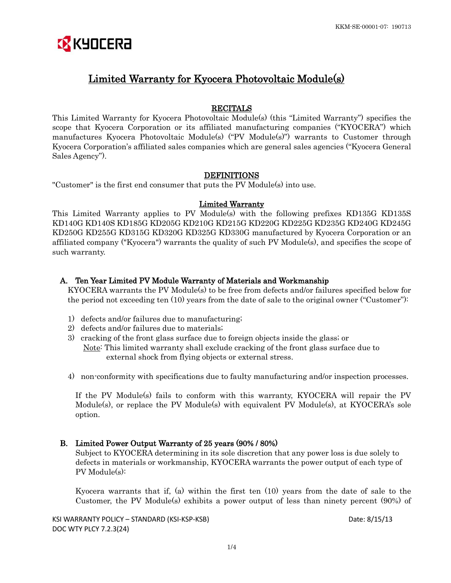# **EX** KYOCERA

# Limited Warranty for Kyocera Photovoltaic Module(s)

# RECITALS

This Limited Warranty for Kyocera Photovoltaic Module(s) (this "Limited Warranty") specifies the scope that Kyocera Corporation or its affiliated manufacturing companies ("KYOCERA") which manufactures Kyocera Photovoltaic Module(s) ("PV Module(s)") warrants to Customer through Kyocera Corporation's affiliated sales companies which are general sales agencies ("Kyocera General Sales Agency").

# **DEFINITIONS**

"Customer" is the first end consumer that puts the PV Module(s) into use.

## Limited Warranty

This Limited Warranty applies to PV Module(s) with the following prefixes KD135G KD135S KD140G KD140S KD185G KD205G KD210G KD215G KD220G KD225G KD235G KD240G KD245G KD250G KD255G KD315G KD320G KD325G KD330G manufactured by Kyocera Corporation or an affiliated company ("Kyocera") warrants the quality of such PV Module(s), and specifies the scope of such warranty.

# A. Ten Year Limited PV Module Warranty of Materials and Workmanship

KYOCERA warrants the PV Module(s) to be free from defects and/or failures specified below for the period not exceeding ten (10) years from the date of sale to the original owner ("Customer"):

- 1) defects and/or failures due to manufacturing;
- 2) defects and/or failures due to materials;
- 3) cracking of the front glass surface due to foreign objects inside the glass; or Note: This limited warranty shall exclude cracking of the front glass surface due to external shock from flying objects or external stress.
- 4) non-conformity with specifications due to faulty manufacturing and/or inspection processes.

 If the PV Module(s) fails to conform with this warranty, KYOCERA will repair the PV Module(s), or replace the PV Module(s) with equivalent PV Module(s), at KYOCERA's sole option.

# B. Limited Power Output Warranty of 25 years (90% / 80%)

Subject to KYOCERA determining in its sole discretion that any power loss is due solely to defects in materials or workmanship, KYOCERA warrants the power output of each type of PV Module(s):

 Kyocera warrants that if, (a) within the first ten (10) years from the date of sale to the Customer, the PV Module(s) exhibits a power output of less than ninety percent (90%) of

KSI WARRANTY POLICY – STANDARD (KSI-KSP-KSB) Date: 8/15/13 DOC WTY PLCY 7.2.3(24)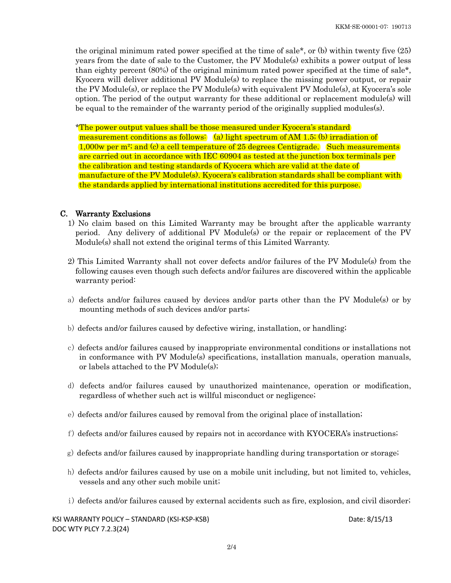the original minimum rated power specified at the time of sale\*, or (b) within twenty five (25) years from the date of sale to the Customer, the PV Module(s) exhibits a power output of less than eighty percent (80%) of the original minimum rated power specified at the time of sale\*, Kyocera will deliver additional PV Module(s) to replace the missing power output, or repair the PV Module(s), or replace the PV Module(s) with equivalent PV Module(s), at Kyocera's sole option. The period of the output warranty for these additional or replacement module(s) will be equal to the remainder of the warranty period of the originally supplied modules(s).

 \*The power output values shall be those measured under Kyocera's standard measurement conditions as follows: (a) light spectrum of AM 1.5; (b) irradiation of 1,000w per m²; and (c) a cell temperature of 25 degrees Centigrade. Such measurements are carried out in accordance with IEC 60904 as tested at the junction box terminals per the calibration and testing standards of Kyocera which are valid at the date of manufacture of the PV Module(s). Kyocera's calibration standards shall be compliant with the standards applied by international institutions accredited for this purpose.

## C. Warranty Exclusions

- 1) No claim based on this Limited Warranty may be brought after the applicable warranty period. Any delivery of additional PV Module(s) or the repair or replacement of the PV Module(s) shall not extend the original terms of this Limited Warranty.
- 2) This Limited Warranty shall not cover defects and/or failures of the PV Module(s) from the following causes even though such defects and/or failures are discovered within the applicable warranty period:
- a) defects and/or failures caused by devices and/or parts other than the PV Module(s) or by mounting methods of such devices and/or parts;
- b) defects and/or failures caused by defective wiring, installation, or handling;
- c) defects and/or failures caused by inappropriate environmental conditions or installations not in conformance with PV Module(s) specifications, installation manuals, operation manuals, or labels attached to the PV Module(s);
- d) defects and/or failures caused by unauthorized maintenance, operation or modification, regardless of whether such act is willful misconduct or negligence;
- e) defects and/or failures caused by removal from the original place of installation;
- f) defects and/or failures caused by repairs not in accordance with KYOCERA's instructions;
- g) defects and/or failures caused by inappropriate handling during transportation or storage;
- h) defects and/or failures caused by use on a mobile unit including, but not limited to, vehicles, vessels and any other such mobile unit;
- i) defects and/or failures caused by external accidents such as fire, explosion, and civil disorder;

KSI WARRANTY POLICY – STANDARD (KSI-KSP-KSB) Date: 8/15/13 DOC WTY PLCY 7.2.3(24)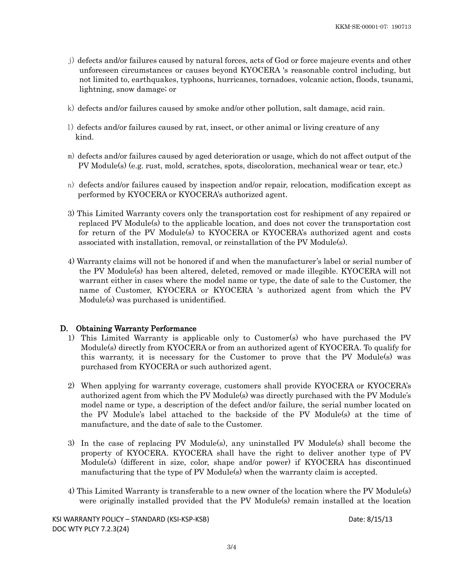- j) defects and/or failures caused by natural forces, acts of God or force majeure events and other unforeseen circumstances or causes beyond KYOCERA 's reasonable control including, but not limited to, earthquakes, typhoons, hurricanes, tornadoes, volcanic action, floods, tsunami, lightning, snow damage; or
- k) defects and/or failures caused by smoke and/or other pollution, salt damage, acid rain.
- l) defects and/or failures caused by rat, insect, or other animal or living creature of any kind.
- m) defects and/or failures caused by aged deterioration or usage, which do not affect output of the PV Module(s) (e.g. rust, mold, scratches, spots, discoloration, mechanical wear or tear, etc.)
- n) defects and/or failures caused by inspection and/or repair, relocation, modification except as performed by KYOCERA or KYOCERA's authorized agent.
- 3) This Limited Warranty covers only the transportation cost for reshipment of any repaired or replaced PV Module(s) to the applicable location, and does not cover the transportation cost for return of the PV Module(s) to KYOCERA or KYOCERA's authorized agent and costs associated with installation, removal, or reinstallation of the PV Module(s).
- 4) Warranty claims will not be honored if and when the manufacturer's label or serial number of the PV Module(s) has been altered, deleted, removed or made illegible. KYOCERA will not warrant either in cases where the model name or type, the date of sale to the Customer, the name of Customer, KYOCERA or KYOCERA 's authorized agent from which the PV Module(s) was purchased is unidentified.

## D. Obtaining Warranty Performance

- 1) This Limited Warranty is applicable only to Customer(s) who have purchased the PV Module(s) directly from KYOCERA or from an authorized agent of KYOCERA. To qualify for this warranty, it is necessary for the Customer to prove that the PV Module(s) was purchased from KYOCERA or such authorized agent.
- 2) When applying for warranty coverage, customers shall provide KYOCERA or KYOCERA's authorized agent from which the PV Module(s) was directly purchased with the PV Module's model name or type, a description of the defect and/or failure, the serial number located on the PV Module's label attached to the backside of the PV Module(s) at the time of manufacture, and the date of sale to the Customer.
- 3) In the case of replacing PV Module(s), any uninstalled PV Module(s) shall become the property of KYOCERA. KYOCERA shall have the right to deliver another type of PV Module(s) (different in size, color, shape and/or power) if KYOCERA has discontinued manufacturing that the type of PV Module(s) when the warranty claim is accepted.
- 4) This Limited Warranty is transferable to a new owner of the location where the PV Module(s) were originally installed provided that the PV Module(s) remain installed at the location

KSI WARRANTY POLICY – STANDARD (KSI-KSP-KSB) Date: 8/15/13 DOC WTY PLCY 7.2.3(24)